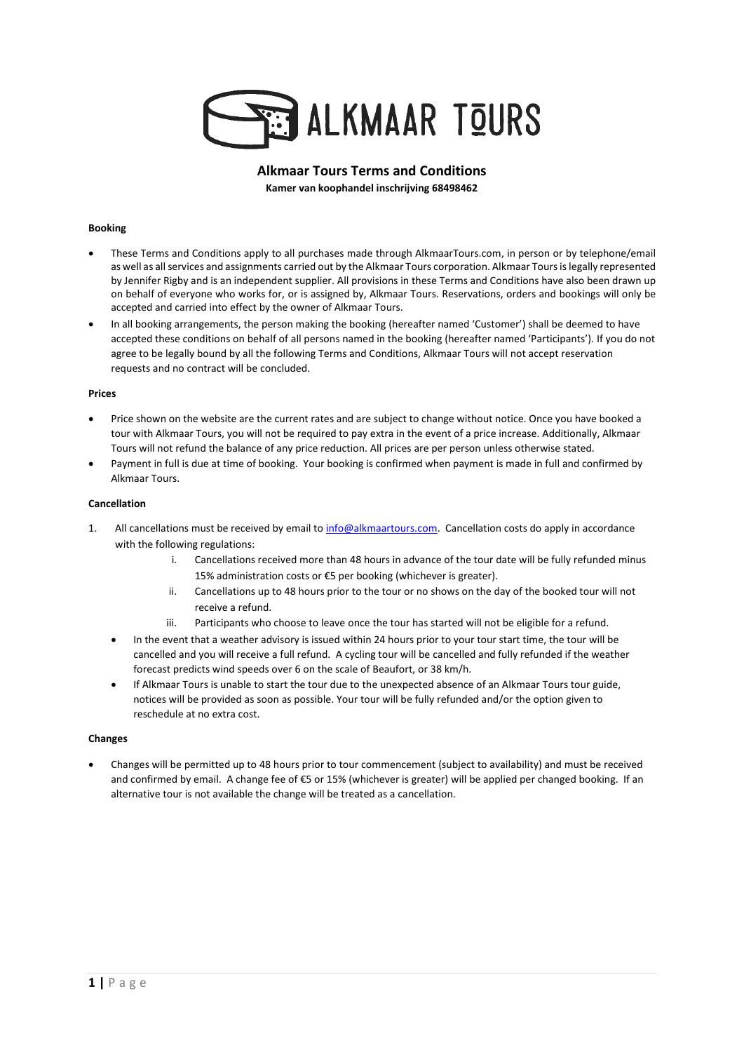

# **Alkmaar Tours Terms and Conditions Kamer van koophandel inschrijving 68498462**

### **Booking**

- These Terms and Conditions apply to all purchases made through AlkmaarTours.com, in person or by telephone/email as well as all services and assignments carried out by the Alkmaar Tours corporation. Alkmaar Tours islegally represented by Jennifer Rigby and is an independent supplier. All provisions in these Terms and Conditions have also been drawn up on behalf of everyone who works for, or is assigned by, Alkmaar Tours. Reservations, orders and bookings will only be accepted and carried into effect by the owner of Alkmaar Tours.
- In all booking arrangements, the person making the booking (hereafter named 'Customer') shall be deemed to have accepted these conditions on behalf of all persons named in the booking (hereafter named 'Participants'). If you do not agree to be legally bound by all the following Terms and Conditions, Alkmaar Tours will not accept reservation requests and no contract will be concluded.

#### **Prices**

- Price shown on the website are the current rates and are subject to change without notice. Once you have booked a tour with Alkmaar Tours, you will not be required to pay extra in the event of a price increase. Additionally, Alkmaar Tours will not refund the balance of any price reduction. All prices are per person unless otherwise stated.
- Payment in full is due at time of booking. Your booking is confirmed when payment is made in full and confirmed by Alkmaar Tours.

#### **Cancellation**

- 1. All cancellations must be received by email to [info@alkmaartours.com.](mailto:info@alkmaartours.com) Cancellation costs do apply in accordance with the following regulations:
	- i. Cancellations received more than 48 hours in advance of the tour date will be fully refunded minus 15% administration costs or €5 per booking (whichever is greater).
	- ii. Cancellations up to 48 hours prior to the tour or no shows on the day of the booked tour will not receive a refund.
	- iii. Participants who choose to leave once the tour has started will not be eligible for a refund.
	- In the event that a weather advisory is issued within 24 hours prior to your tour start time, the tour will be cancelled and you will receive a full refund. A cycling tour will be cancelled and fully refunded if the weather forecast predicts wind speeds over 6 on the scale of Beaufort, or 38 km/h.
	- If Alkmaar Tours is unable to start the tour due to the unexpected absence of an Alkmaar Tours tour guide, notices will be provided as soon as possible. Your tour will be fully refunded and/or the option given to reschedule at no extra cost.

### **Changes**

• Changes will be permitted up to 48 hours prior to tour commencement (subject to availability) and must be received and confirmed by email. A change fee of €5 or 15% (whichever is greater) will be applied per changed booking. If an alternative tour is not available the change will be treated as a cancellation.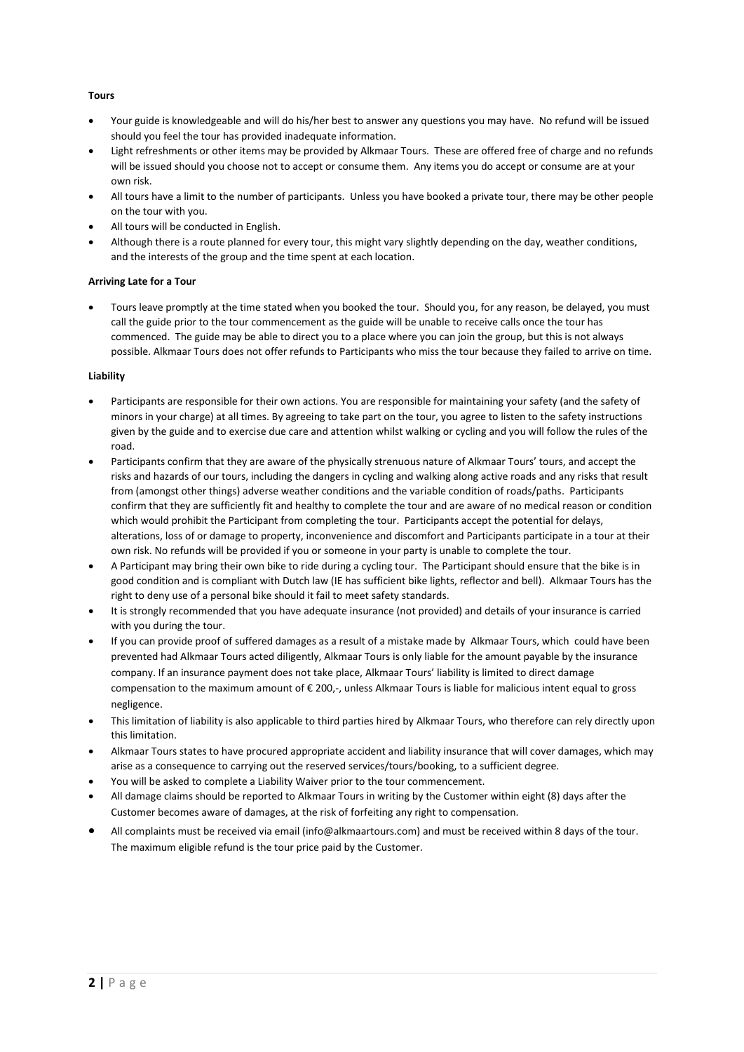### **Tours**

- Your guide is knowledgeable and will do his/her best to answer any questions you may have. No refund will be issued should you feel the tour has provided inadequate information.
- Light refreshments or other items may be provided by Alkmaar Tours. These are offered free of charge and no refunds will be issued should you choose not to accept or consume them. Any items you do accept or consume are at your own risk.
- All tours have a limit to the number of participants. Unless you have booked a private tour, there may be other people on the tour with you.
- All tours will be conducted in English.
- Although there is a route planned for every tour, this might vary slightly depending on the day, weather conditions, and the interests of the group and the time spent at each location.

### **Arriving Late for a Tour**

• Tours leave promptly at the time stated when you booked the tour. Should you, for any reason, be delayed, you must call the guide prior to the tour commencement as the guide will be unable to receive calls once the tour has commenced. The guide may be able to direct you to a place where you can join the group, but this is not always possible. Alkmaar Tours does not offer refunds to Participants who miss the tour because they failed to arrive on time.

## **Liability**

- Participants are responsible for their own actions. You are responsible for maintaining your safety (and the safety of minors in your charge) at all times. By agreeing to take part on the tour, you agree to listen to the safety instructions given by the guide and to exercise due care and attention whilst walking or cycling and you will follow the rules of the road.
- Participants confirm that they are aware of the physically strenuous nature of Alkmaar Tours' tours, and accept the risks and hazards of our tours, including the dangers in cycling and walking along active roads and any risks that result from (amongst other things) adverse weather conditions and the variable condition of roads/paths. Participants confirm that they are sufficiently fit and healthy to complete the tour and are aware of no medical reason or condition which would prohibit the Participant from completing the tour. Participants accept the potential for delays, alterations, loss of or damage to property, inconvenience and discomfort and Participants participate in a tour at their own risk. No refunds will be provided if you or someone in your party is unable to complete the tour.
- A Participant may bring their own bike to ride during a cycling tour. The Participant should ensure that the bike is in good condition and is compliant with Dutch law (IE has sufficient bike lights, reflector and bell). Alkmaar Tours has the right to deny use of a personal bike should it fail to meet safety standards.
- It is strongly recommended that you have adequate insurance (not provided) and details of your insurance is carried with you during the tour.
- If you can provide proof of suffered damages as a result of a mistake made by Alkmaar Tours, which could have been prevented had Alkmaar Tours acted diligently, Alkmaar Tours is only liable for the amount payable by the insurance company. If an insurance payment does not take place, Alkmaar Tours' liability is limited to direct damage compensation to the maximum amount of € 200,-, unless Alkmaar Tours is liable for malicious intent equal to gross negligence.
- This limitation of liability is also applicable to third parties hired by Alkmaar Tours, who therefore can rely directly upon this limitation.
- Alkmaar Tours states to have procured appropriate accident and liability insurance that will cover damages, which may arise as a consequence to carrying out the reserved services/tours/booking, to a sufficient degree.
- You will be asked to complete a Liability Waiver prior to the tour commencement.
- All damage claims should be reported to Alkmaar Tours in writing by the Customer within eight (8) days after the Customer becomes aware of damages, at the risk of forfeiting any right to compensation.
- All complaints must be received via email (info@alkmaartours.com) and must be received within 8 days of the tour. The maximum eligible refund is the tour price paid by the Customer.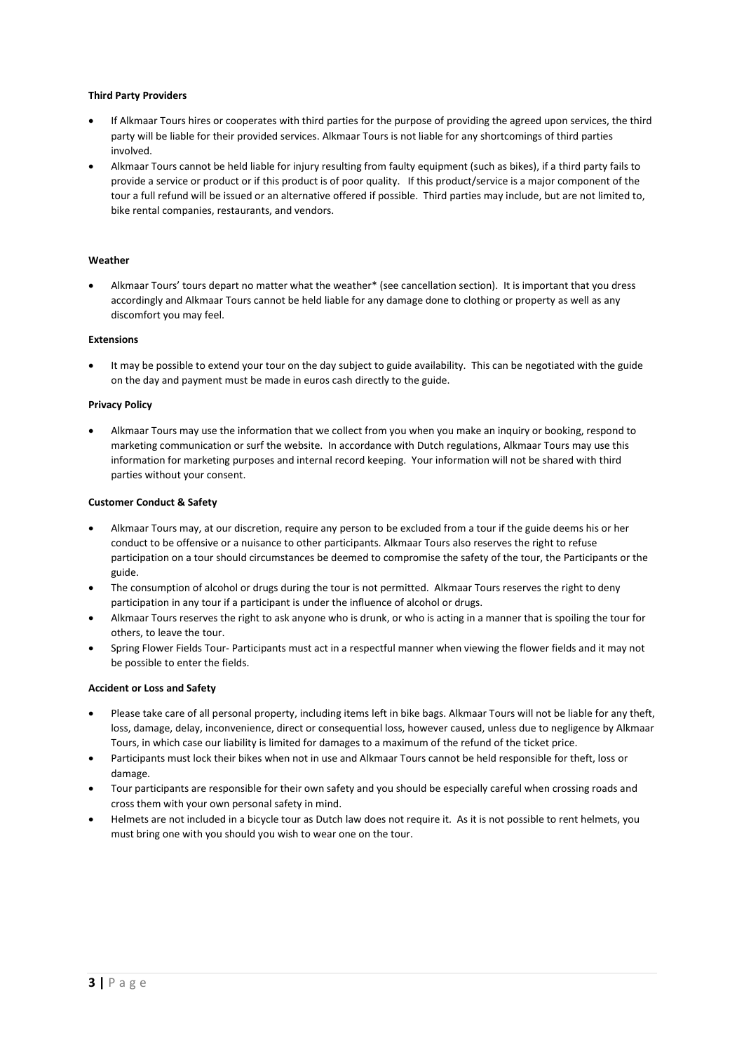### **Third Party Providers**

- If Alkmaar Tours hires or cooperates with third parties for the purpose of providing the agreed upon services, the third party will be liable for their provided services. Alkmaar Tours is not liable for any shortcomings of third parties involved.
- Alkmaar Tours cannot be held liable for injury resulting from faulty equipment (such as bikes), if a third party fails to provide a service or product or if this product is of poor quality. If this product/service is a major component of the tour a full refund will be issued or an alternative offered if possible. Third parties may include, but are not limited to, bike rental companies, restaurants, and vendors.

#### **Weather**

• Alkmaar Tours' tours depart no matter what the weather\* (see cancellation section). It is important that you dress accordingly and Alkmaar Tours cannot be held liable for any damage done to clothing or property as well as any discomfort you may feel.

#### **Extensions**

It may be possible to extend your tour on the day subject to guide availability. This can be negotiated with the guide on the day and payment must be made in euros cash directly to the guide.

#### **Privacy Policy**

• Alkmaar Tours may use the information that we collect from you when you make an inquiry or booking, respond to marketing communication or surf the website. In accordance with Dutch regulations, Alkmaar Tours may use this information for marketing purposes and internal record keeping. Your information will not be shared with third parties without your consent.

#### **Customer Conduct & Safety**

- Alkmaar Tours may, at our discretion, require any person to be excluded from a tour if the guide deems his or her conduct to be offensive or a nuisance to other participants. Alkmaar Tours also reserves the right to refuse participation on a tour should circumstances be deemed to compromise the safety of the tour, the Participants or the guide.
- The consumption of alcohol or drugs during the tour is not permitted. Alkmaar Tours reserves the right to deny participation in any tour if a participant is under the influence of alcohol or drugs.
- Alkmaar Tours reserves the right to ask anyone who is drunk, or who is acting in a manner that is spoiling the tour for others, to leave the tour.
- Spring Flower Fields Tour- Participants must act in a respectful manner when viewing the flower fields and it may not be possible to enter the fields.

### **Accident or Loss and Safety**

- Please take care of all personal property, including items left in bike bags. Alkmaar Tours will not be liable for any theft, loss, damage, delay, inconvenience, direct or consequential loss, however caused, unless due to negligence by Alkmaar Tours, in which case our liability is limited for damages to a maximum of the refund of the ticket price.
- Participants must lock their bikes when not in use and Alkmaar Tours cannot be held responsible for theft, loss or damage.
- Tour participants are responsible for their own safety and you should be especially careful when crossing roads and cross them with your own personal safety in mind.
- Helmets are not included in a bicycle tour as Dutch law does not require it. As it is not possible to rent helmets, you must bring one with you should you wish to wear one on the tour.